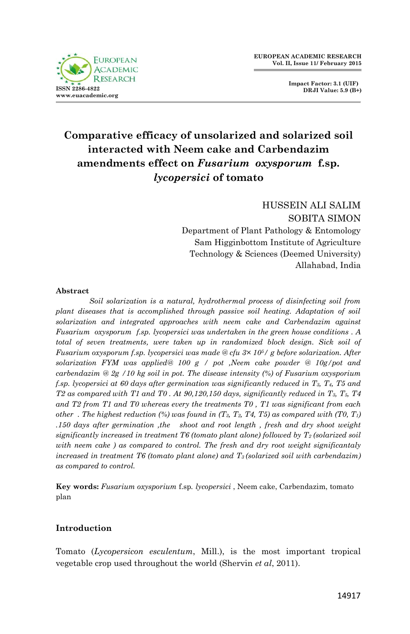

# **Comparative efficacy of unsolarized and solarized soil interacted with Neem cake and Carbendazim amendments effect on** *Fusarium oxysporum* **f.sp.**  *lycopersici* **of tomato**

HUSSEIN ALI SALIM SOBITA SIMON Department of Plant Pathology & Entomology Sam Higginbottom Institute of Agriculture Technology & Sciences (Deemed University) Allahabad, India

#### **Abstract**

*Soil solarization is a natural, hydrothermal process of disinfecting soil from plant diseases that is accomplished through passive soil heating. Adaptation of soil solarization and integrated approaches with neem cake and Carbendazim against Fusarium oxysporum f.sp. lycopersici was undertaken in the green house conditions . A total of seven treatments, were taken up in randomized block design. Sick soil of Fusarium oxysporum f.sp. lycopersici was made @ cfu 3× 105/ g before solarization. After solarization FYM was applied@ 100 g / pot ,Neem cake powder @ 10g/pot and carbendazim @ 2g /10 kg soil in pot. The disease intensity (%) of Fusarium oxysporium f.sp. lycopersici at 60 days after germination was significantly reduced in T3, T4, T5 and T2 as compared with T1 and T0 . At 90,120,150 days, significantly reduced in T3, T5, T4 and T2 from T1 and T0 whereas every the treatments T0 , T1 was significant from each other . The highest reduction (%) was found in (T3, T2, T4, T5) as compared with (T0, T1) .150 days after germination ,the shoot and root length , fresh and dry shoot weight significantly increased in treatment T6 (tomato plant alone) followed by T<sup>2</sup> (solarized soil with neem cake ) as compared to control. The fresh and dry root weight significantaly increased in treatment T6 (tomato plant alone) and T3 (solarized soil with carbendazim) as compared to control.*

**Key words:** *Fusarium oxysporium* f.sp*. lycopersici* , Neem cake, Carbendazim, tomato plan

### **Introduction**

Tomato (*Lycopersicon esculentum*, Mill.), is the most important tropical vegetable crop used throughout the world (Shervin *et al*, 2011).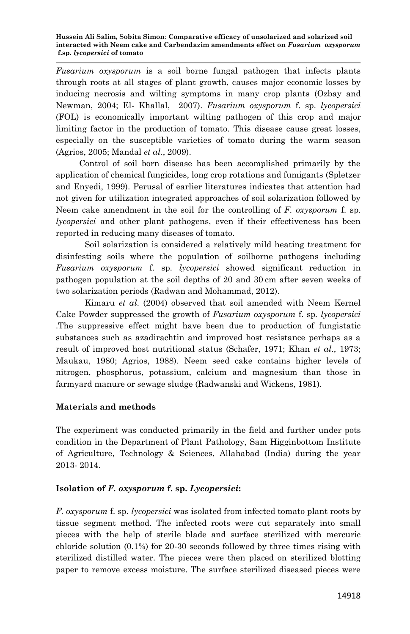*Fusarium oxysporum* is a soil borne fungal pathogen that infects plants through roots at all stages of plant growth, causes major economic losses by inducing necrosis and wilting symptoms in many crop plants (Ozbay and Newman, 2004; El- Khallal, 2007). *Fusarium oxysporum* f. sp. *lycopersici*  (FOL) is economically important wilting pathogen of this crop and major limiting factor in the production of tomato. This disease cause great losses, especially on the susceptible varieties of tomato during the warm season (Agrios, 2005; Mandal *et al.*, 2009).

 Control of soil born disease has been accomplished primarily by the application of chemical fungicides, long crop rotations and fumigants (Spletzer and Enyedi, 1999). Perusal of earlier literatures indicates that attention had not given for utilization integrated approaches of soil solarization followed by Neem cake amendment in the soil for the controlling of *F. oxysporum* f. sp. *lycopersici* and other plant pathogens, even if their effectiveness has been reported in reducing many diseases of tomato.

Soil solarization is considered a relatively mild heating treatment for disinfesting soils where the population of soilborne pathogens including *Fusarium oxysporum* f. sp. *lycopersici* showed significant reduction in pathogen population at the soil depths of 20 and 30 cm after seven weeks of two solarization periods (Radwan and Mohammad, 2012).

Kimaru *et al*. (2004) observed that soil amended with Neem Kernel Cake Powder suppressed the growth of *Fusarium oxysporum* f. sp*. lycopersici* .The suppressive effect might have been due to production of fungistatic substances such as azadirachtin and improved host resistance perhaps as a result of improved host nutritional status (Schafer, 1971; Khan *et al*., 1973; Maukau, 1980; Agrios, 1988). Neem seed cake contains higher levels of nitrogen, phosphorus, potassium, calcium and magnesium than those in farmyard manure or sewage sludge (Radwanski and Wickens, 1981).

### **Materials and methods**

The experiment was conducted primarily in the field and further under pots condition in the Department of Plant Pathology, Sam Higginbottom Institute of Agriculture, Technology & Sciences, Allahabad (India) during the year 2013- 2014.

## **Isolation of** *F. oxysporum* **f. sp.** *Lycopersici***:**

*F. oxysporum* f. sp. *lycopersici* was isolated from infected tomato plant roots by tissue segment method. The infected roots were cut separately into small pieces with the help of sterile blade and surface sterilized with mercuric chloride solution (0.1%) for 20-30 seconds followed by three times rising with sterilized distilled water. The pieces were then placed on sterilized blotting paper to remove excess moisture. The surface sterilized diseased pieces were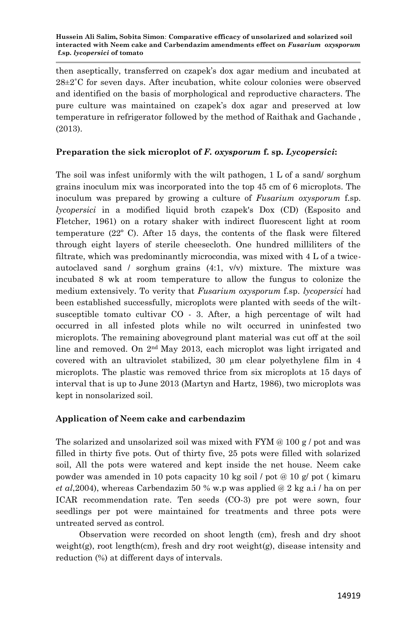then aseptically, transferred on czapek's dox agar medium and incubated at  $28\pm2^{\circ}$ C for seven days. After incubation, white colour colonies were observed and identified on the basis of morphological and reproductive characters. The pure culture was maintained on czapek's dox agar and preserved at low temperature in refrigerator followed by the method of Raithak and Gachande , (2013).

### **Preparation the sick microplot of** *F. oxysporum* **f. sp.** *Lycopersici***:**

The soil was infest uniformly with the wilt pathogen, 1 L of a sand/ sorghum grains inoculum mix was incorporated into the top 45 cm of 6 microplots. The inoculum was prepared by growing a culture of *Fusarium oxysporum* f.sp. *lycopersici* in a modified liquid broth czapek's Dox (CD) (Esposito and Fletcher, 1961) on a rotary shaker with indirect fluorescent light at room temperature (22º C). After 15 days, the contents of the flask were filtered through eight layers of sterile cheesecloth. One hundred milliliters of the filtrate, which was predominantly microcondia, was mixed with 4 L of a twiceautoclaved sand / sorghum grains  $(4:1, v/v)$  mixture. The mixture was incubated 8 wk at room temperature to allow the fungus to colonize the medium extensively. To verity that *Fusarium oxysporum* f.sp. *lycopersici* had been established successfully, microplots were planted with seeds of the wiltsusceptible tomato cultivar CO - 3. After, a high percentage of wilt had occurred in all infested plots while no wilt occurred in uninfested two microplots. The remaining aboveground plant material was cut off at the soil line and removed. On  $2<sup>nd</sup>$  May 2013, each microplot was light irrigated and covered with an ultraviolet stabilized, 30 µm clear polyethylene film in 4 microplots. The plastic was removed thrice from six microplots at 15 days of interval that is up to June 2013 (Martyn and Hartz, 1986), two microplots was kept in nonsolarized soil.

### **Application of Neem cake and carbendazim**

The solarized and unsolarized soil was mixed with  $\text{FYM}\otimes 100\,\text{g}$  / pot and was filled in thirty five pots. Out of thirty five, 25 pots were filled with solarized soil, All the pots were watered and kept inside the net house. Neem cake powder was amended in 10 pots capacity 10 kg soil / pot @ 10 g/ pot ( kimaru *et al*,2004), whereas Carbendazim 50 % w.p was applied @ 2 kg a.i / ha on per ICAR recommendation rate. Ten seeds (CO-3) pre pot were sown, four seedlings per pot were maintained for treatments and three pots were untreated served as control.

 Observation were recorded on shoot length (cm), fresh and dry shoot weight(g), root length(cm), fresh and dry root weight(g), disease intensity and reduction (%) at different days of intervals.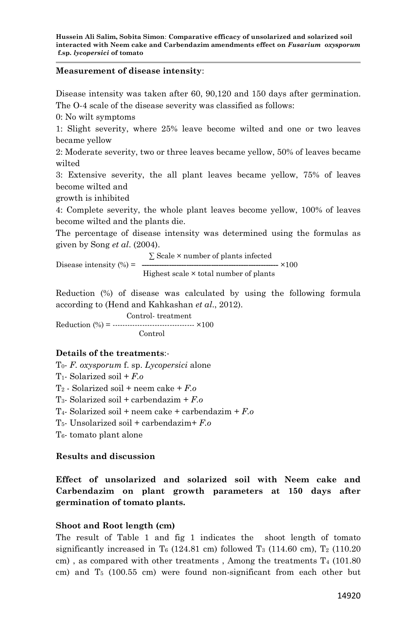#### **Measurement of disease intensity**:

Disease intensity was taken after 60, 90,120 and 150 days after germination. The O-4 scale of the disease severity was classified as follows:

0: No wilt symptoms

1: Slight severity, where 25% leave become wilted and one or two leaves became yellow

2: Moderate severity, two or three leaves became yellow, 50% of leaves became wilted

3: Extensive severity, the all plant leaves became yellow, 75% of leaves become wilted and

growth is inhibited

4: Complete severity, the whole plant leaves become yellow, 100% of leaves become wilted and the plants die.

The percentage of disease intensity was determined using the formulas as given by Song *et al*. (2004).

 ∑ Scale × number of plants infected Disease intensity (%) = **-------------------------------------------------------** ×100 Highest scale × total number of plants

Reduction (%) of disease was calculated by using the following formula according to (Hend and Kahkashan *et al*., 2012).

 Control- treatment Reduction (%) = --------------------------------- ×100 Control

### **Details of the treatments**:-

T0- *F. oxysporum* f. sp. *Lycopersici* alone T1- Solarized soil + *F.o* T<sup>2</sup> - Solarized soil + neem cake + *F.o* T3- Solarized soil + carbendazim + *F.o* T4- Solarized soil + neem cake + carbendazim + *F.o* T5- Unsolarized soil + carbendazim+ *F.o* T6- tomato plant alone

**Results and discussion**

**Effect of unsolarized and solarized soil with Neem cake and Carbendazim on plant growth parameters at 150 days after germination of tomato plants.**

### **Shoot and Root length (cm)**

The result of Table 1 and fig 1 indicates the shoot length of tomato significantly increased in T<sub>6</sub> (124.81 cm) followed T<sub>3</sub> (114.60 cm), T<sub>2</sub> (110.20 cm), as compared with other treatments, Among the treatments  $T_4$  (101.80) cm) and  $T_5$  (100.55 cm) were found non-significant from each other but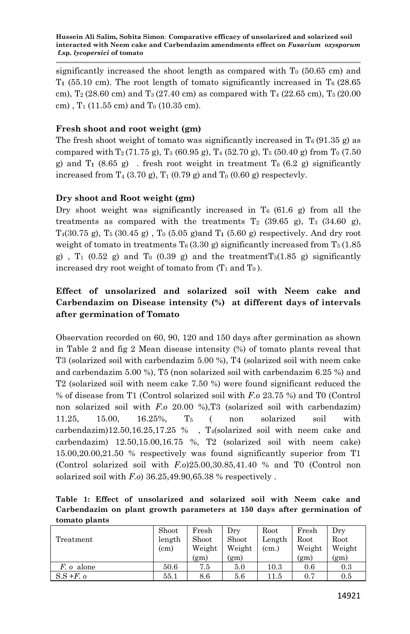significantly increased the shoot length as compared with  $T<sub>0</sub>$  (50.65 cm) and T<sub>1</sub> (55.10 cm). The root length of tomato significantly increased in  $T_6$  (28.65) cm),  $T_2$  (28.60 cm) and  $T_3$  (27.40 cm) as compared with  $T_4$  (22.65 cm),  $T_5$  (20.00 cm),  $T_1$  (11.55 cm) and  $T_0$  (10.35 cm).

### **Fresh shoot and root weight (gm)**

The fresh shoot weight of tomato was significantly increased in  $T_6$  (91.35 g) as compared with  $T_2$  (71.75 g),  $T_3$  (60.95 g),  $T_4$  (52.70 g),  $T_5$  (50.40 g) from  $T_0$  (7.50 g) and  $T_1$  (8.65 g). fresh root weight in treatment  $T_6$  (6.2 g) significantly increased from  $T_4$  (3.70 g),  $T_1$  (0.79 g) and  $T_0$  (0.60 g) respectevly.

#### **Dry shoot and Root weight (gm)**

Dry shoot weight was significantly increased in  $T_6$  (61.6 g) from all the treatments as compared with the treatments  $T_2$  (39.65 g),  $T_3$  (34.60 g),  $T_4(30.75 \text{ g})$ ,  $T_5(30.45 \text{ g})$ ,  $T_0(5.05 \text{ g})$  and  $T_1(5.60 \text{ g})$  respectively. And dry root weight of tomato in treatments T<sub>6</sub> (3.30 g) significantly increased from T<sub>5</sub> (1.85) g),  $T_1$  (0.52 g) and  $T_0$  (0.39 g) and the treatment  $T_5(1.85 \text{ g})$  significantly increased dry root weight of tomato from  $(T_1$  and  $T_0$ ).

## **Effect of unsolarized and solarized soil with Neem cake and Carbendazim on Disease intensity (%) at different days of intervals after germination of Tomato**

Observation recorded on 60, 90, 120 and 150 days after germination as shown in Table 2 and fig 2 Mean disease intensity (%) of tomato plants reveal that T3 (solarized soil with carbendazim 5.00 %), T4 (solarized soil with neem cake and carbendazim 5.00 %), T5 (non solarized soil with carbendazim 6.25 %) and T2 (solarized soil with neem cake 7.50 %) were found significant reduced the % of disease from T1 (Control solarized soil with *F.o* 23.75 %) and T0 (Control non solarized soil with *F.o* 20.00 %),T3 (solarized soil with carbendazim) 11.25, 15.00, 16.25%, T<sup>5</sup> ( non solarized soil with carbendazim)12.50,16.25,17.25 % , T4(solarized soil with neem cake and carbendazim) 12.50,15.00,16.75 %, T2 (solarized soil with neem cake) 15.00,20.00,21.50 % respectively was found significantly superior from T1 (Control solarized soil with *F.o*)25.00,30.85,41.40 % and T0 (Control non solarized soil with *F.o*) 36.25,49.90,65.38 % respectively .

**Table 1: Effect of unsolarized and solarized soil with Neem cake and Carbendazim on plant growth parameters at 150 days after germination of tomato plants**

| Treatment            | Shoot<br>length<br>(c <sub>m</sub> ) | Fresh<br>Shoot<br>Weight<br>(g <sub>m</sub> ) | $_{\rm{Drv}}$<br>Shoot<br>Weight<br>(g <sub>m</sub> ) | Root<br>Length<br>(cm.) | Fresh<br>Root<br>Weight<br>(g <sub>m</sub> ) | Dry<br>Root<br>Weight<br>(g <sub>m</sub> ) |
|----------------------|--------------------------------------|-----------------------------------------------|-------------------------------------------------------|-------------------------|----------------------------------------------|--------------------------------------------|
| $F$ . <i>o</i> alone | 50.6                                 | 7.5                                           | 5.0                                                   | 10.3                    | 0.6                                          | 0.3                                        |
| $S.S+F.o$            | 55.1                                 | 8.6                                           | 5.6                                                   | 11.5                    | 0.7                                          | 0.5                                        |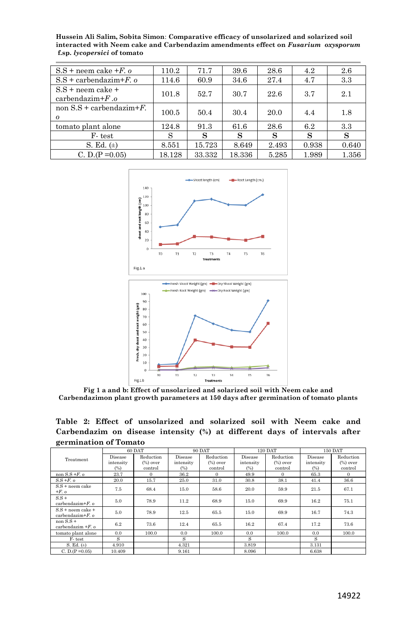| $S.S + n$ eem cake $+F.$ o                   | 110.2  | 71.7   | 39.6   | 28.6  | 4.2   | 2.6   |
|----------------------------------------------|--------|--------|--------|-------|-------|-------|
| $S.S +$ carbendazim+F, o                     | 114.6  | 60.9   | 34.6   | 27.4  | 4.7   | 3.3   |
| $S.S +$ neem cake $+$<br>carbendazim $+F$ .o | 101.8  | 52.7   | 30.7   | 22.6  | 3.7   | 2.1   |
| non $S.S +$ carbendazim+ $F$ .<br>$\Omega$   | 100.5  | 50.4   | 30.4   | 20.0  | 4.4   | 1.8   |
| tomato plant alone                           | 124.8  | 91.3   | 61.6   | 28.6  | 6.2   | 3.3   |
| F-test                                       | S      | S      | S      | s     | S     | S     |
| S. Ed. $(\pm)$                               | 8.551  | 15.723 | 8.649  | 2.493 | 0.938 | 0.640 |
| C. D.(P = $0.05$ )                           | 18.128 | 33.332 | 18.336 | 5.285 | 1.989 | 1.356 |

**Hussein Ali Salim, Sobita Simon**: **Comparative efficacy of unsolarized and solarized soil interacted with Neem cake and Carbendazim amendments effect on** *Fusarium oxysporum* **f.sp.** *lycopersici* **of tomato**



**Fig 1 a and b: Effect of unsolarized and solarized soil with Neem cake and Carbendazimon plant growth parameters at 150 days after germination of tomato plants**

**Table 2: Effect of unsolarized and solarized soil with Neem cake and Carbendazim on disease intensity (%) at different days of intervals after germination of Tomato** 

| Treatment                                            | 60 DAT    |             | 90 DAT    |             | <b>120 DAT</b> |             | 150 DAT   |             |
|------------------------------------------------------|-----------|-------------|-----------|-------------|----------------|-------------|-----------|-------------|
|                                                      | Disease   | Reduction   | Disease   | Reduction   | Disease        | Reduction   | Disease   | Reduction   |
|                                                      | intensity | $(\%)$ over | intensity | $(\%)$ over | intensity      | $(\%)$ over | intensity | $(\%)$ over |
|                                                      | (%)       | control     | (%)       | control     | (%)            | control     | (%)       | control     |
| non $S.S + F.$ o                                     | 23.7      | $\Omega$    | 36.2      | $\Omega$    | 49.9           | $\Omega$    | 65.3      | $\Omega$    |
| $S.S + F.$ $o$                                       | 20.0      | 15.7        | 25.0      | 31.0        | 30.8           | 38.1        | 41.4      | 36.6        |
| $S.S +$ neem cake<br>$+F.$ $\circ$                   | 7.5       | 68.4        | 15.0      | 58.6        | 20.0           | 59.9        | 21.5      | 67.1        |
| $S.S +$<br>carbendazim $+E$ . $\alpha$               | 5.0       | 78.9        | 11.2      | 68.9        | 15.0           | 69.9        | 16.2      | 75.1        |
| $S.S +$ neem cake $+$<br>carbendazim $+E$ . $\alpha$ | 5.0       | 78.9        | 12.5      | 65.5        | 15.0           | 69.9        | 16.7      | 74.3        |
| non $S.S +$<br>carbendazim $+F$ . o                  | 6.2       | 73.6        | 12.4      | 65.5        | 16.2           | 67.4        | 17.2      | 73.6        |
| tomato plant alone                                   | 0.0       | 100.0       | 0.0       | 100.0       | 0.0            | 100.0       | 0.0       | 100.0       |
| F-test                                               | s         |             | S         |             | s              |             | S         |             |
| S. Ed. $(\pm)$                                       | 4.910     |             | 4.321     |             | 3.819          |             | 3.131     |             |
| C. D.(P = 0.05)                                      | 10.409    |             | 9.161     |             | 8.096          |             | 6.638     |             |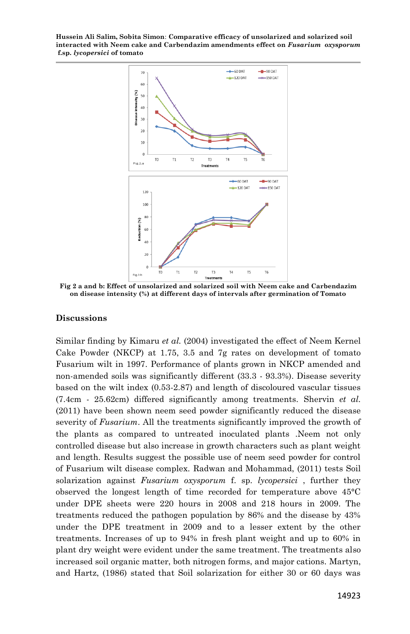**Hussein Ali Salim, Sobita Simon**: **Comparative efficacy of unsolarized and solarized soil interacted with Neem cake and Carbendazim amendments effect on** *Fusarium oxysporum* **f.sp.** *lycopersici* **of tomato**



**Fig 2 a and b: Effect of unsolarized and solarized soil with Neem cake and Carbendazim on disease intensity (%) at different days of intervals after germination of Tomato**

#### **Discussions**

Similar finding by Kimaru *et al.* (2004) investigated the effect of Neem Kernel Cake Powder (NKCP) at 1.75, 3.5 and 7g rates on development of tomato Fusarium wilt in 1997. Performance of plants grown in NKCP amended and non-amended soils was significantly different (33.3 - 93.3%). Disease severity based on the wilt index (0.53-2.87) and length of discoloured vascular tissues (7.4cm - 25.62cm) differed significantly among treatments. Shervin *et al.*  (2011) have been shown neem seed powder significantly reduced the disease severity of *Fusarium*. All the treatments significantly improved the growth of the plants as compared to untreated inoculated plants .Neem not only controlled disease but also increase in growth characters such as plant weight and length. Results suggest the possible use of neem seed powder for control of Fusarium wilt disease complex. Radwan and Mohammad, (2011) tests Soil solarization against *Fusarium oxysporum* f. sp. *lycopersici* , further they observed the longest length of time recorded for temperature above 45°C under DPE sheets were 220 hours in 2008 and 218 hours in 2009. The treatments reduced the pathogen population by 86% and the disease by 43% under the DPE treatment in 2009 and to a lesser extent by the other treatments. Increases of up to 94% in fresh plant weight and up to 60% in plant dry weight were evident under the same treatment. The treatments also increased soil organic matter, both nitrogen forms, and major cations. Martyn, and Hartz, (1986) stated that Soil solarization for either 30 or 60 days was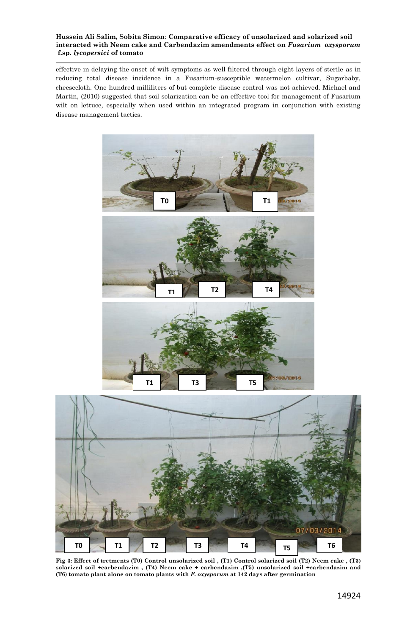#### **Hussein Ali Salim, Sobita Simon**: **Comparative efficacy of unsolarized and solarized soil interacted with Neem cake and Carbendazim amendments effect on** *Fusarium oxysporum* **f.sp.** *lycopersici* **of tomato**

effective in delaying the onset of wilt symptoms as well filtered through eight layers of sterile as in reducing total disease incidence in a Fusarium-susceptible watermelon cultivar, Sugarbaby, cheesecloth. One hundred milliliters of but complete disease control was not achieved. Michael and Martin, (2010) suggested that soil solarization can be an effective tool for management of Fusarium wilt on lettuce, especially when used within an integrated program in conjunction with existing disease management tactics.







**Fig 3: Effect of tretments (T0) Control unsolarized soil , (T1) Control solarized soil (T2) Neem cake , (T3)** solarized soil +carbendazim , (T4) Neem cake + carbendazim ,(T5) unsolarized soil +carbendazim and<br>(T6) tomato plant alone on tomato plants with *F. oxysporum* at 142 days after germination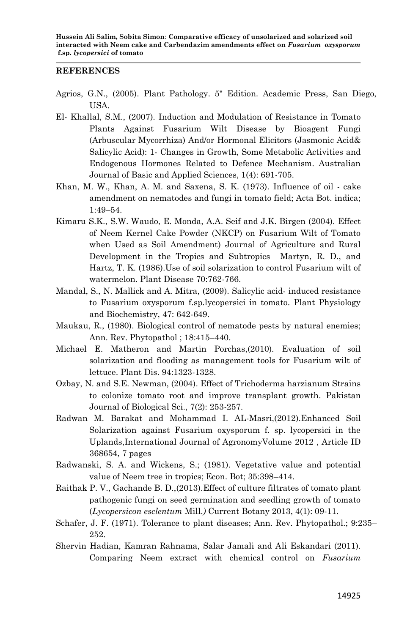#### **REFERENCES**

- Agrios, G.N., (2005). Plant Pathology. 5" Edition. Academic Press, San Diego, USA.
- El- Khallal, S.M., (2007). Induction and Modulation of Resistance in Tomato Plants Against Fusarium Wilt Disease by Bioagent Fungi (Arbuscular Mycorrhiza) And/or Hormonal Elicitors (Jasmonic Acid& Salicylic Acid): 1- Changes in Growth, Some Metabolic Activities and Endogenous Hormones Related to Defence Mechanism. Australian Journal of Basic and Applied Sciences, 1(4): 691-705.
- Khan, M. W., Khan, A. M. and Saxena, S. K. (1973). Influence of oil cake amendment on nematodes and fungi in tomato field; Acta Bot. indica; 1:49–54.
- Kimaru S.K., S.W. Waudo, E. Monda, A.A. Seif and J.K. Birgen (2004). Effect of Neem Kernel Cake Powder (NKCP) on Fusarium Wilt of Tomato when Used as Soil Amendment) Journal of Agriculture and Rural Development in the Tropics and Subtropics Martyn, R. D., and Hartz, T. K. (1986).Use of soil solarization to control Fusarium wilt of watermelon. Plant Disease 70:762-766.
- Mandal, S., N. Mallick and A. Mitra, (2009). Salicylic acid- induced resistance to Fusarium oxysporum f.sp.lycopersici in tomato. Plant Physiology and Biochemistry, 47: 642-649.
- Maukau, R., (1980). Biological control of nematode pests by natural enemies; Ann. Rev. Phytopathol ; 18:415–440.
- Michael E. Matheron and Martin Porchas,(2010). Evaluation of soil solarization and flooding as management tools for Fusarium wilt of lettuce. Plant Dis. 94:1323-1328.
- Ozbay, N. and S.E. Newman, (2004). Effect of Trichoderma harzianum Strains to colonize tomato root and improve transplant growth. Pakistan Journal of Biological Sci., 7(2): 253-257.
- Radwan M. Barakat and Mohammad I. AL-Masri,(2012).Enhanced Soil Solarization against Fusarium oxysporum f. sp. lycopersici in the Uplands,International Journal of AgronomyVolume 2012 , Article ID 368654, 7 pages
- Radwanski, S. A. and Wickens, S.; (1981). Vegetative value and potential value of Neem tree in tropics; Econ. Bot; 35:398–414.
- Raithak P. V., Gachande B. D.,(2013).Effect of culture filtrates of tomato plant pathogenic fungi on seed germination and seedling growth of tomato (*Lycopersicon esclentum* Mill.*)* Current Botany 2013, 4(1): 09-11.
- Schafer, J. F. (1971). Tolerance to plant diseases; Ann. Rev. Phytopathol.; 9:235– 252.
- Shervin Hadian, Kamran Rahnama, Salar Jamali and Ali Eskandari (2011). Comparing Neem extract with chemical control on *Fusarium*